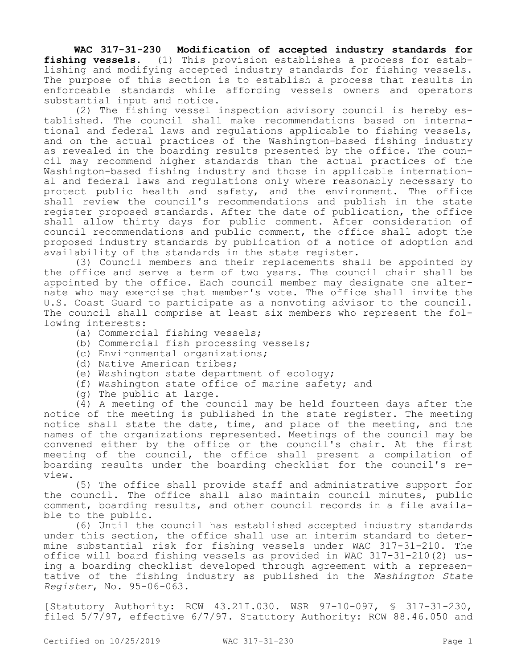**WAC 317-31-230 Modification of accepted industry standards for fishing vessels.** (1) This provision establishes a process for establishing and modifying accepted industry standards for fishing vessels. The purpose of this section is to establish a process that results in enforceable standards while affording vessels owners and operators substantial input and notice.

(2) The fishing vessel inspection advisory council is hereby established. The council shall make recommendations based on international and federal laws and regulations applicable to fishing vessels, and on the actual practices of the Washington-based fishing industry as revealed in the boarding results presented by the office. The council may recommend higher standards than the actual practices of the Washington-based fishing industry and those in applicable international and federal laws and regulations only where reasonably necessary to protect public health and safety, and the environment. The office shall review the council's recommendations and publish in the state register proposed standards. After the date of publication, the office shall allow thirty days for public comment. After consideration of council recommendations and public comment, the office shall adopt the proposed industry standards by publication of a notice of adoption and availability of the standards in the state register.

(3) Council members and their replacements shall be appointed by the office and serve a term of two years. The council chair shall be appointed by the office. Each council member may designate one alternate who may exercise that member's vote. The office shall invite the U.S. Coast Guard to participate as a nonvoting advisor to the council. The council shall comprise at least six members who represent the following interests:

- (a) Commercial fishing vessels;
- (b) Commercial fish processing vessels;
- (c) Environmental organizations;
- (d) Native American tribes;
- (e) Washington state department of ecology;
- (f) Washington state office of marine safety; and
- (g) The public at large.

(4) A meeting of the council may be held fourteen days after the notice of the meeting is published in the state register. The meeting notice shall state the date, time, and place of the meeting, and the names of the organizations represented. Meetings of the council may be convened either by the office or the council's chair. At the first meeting of the council, the office shall present a compilation of boarding results under the boarding checklist for the council's review.

(5) The office shall provide staff and administrative support for the council. The office shall also maintain council minutes, public comment, boarding results, and other council records in a file available to the public.

(6) Until the council has established accepted industry standards under this section, the office shall use an interim standard to determine substantial risk for fishing vessels under WAC 317-31-210. The office will board fishing vessels as provided in WAC 317-31-210(2) using a boarding checklist developed through agreement with a representative of the fishing industry as published in the *Washington State Register*, No. 95-06-063.

[Statutory Authority: RCW 43.21I.030. WSR 97-10-097, § 317-31-230, filed 5/7/97, effective 6/7/97. Statutory Authority: RCW 88.46.050 and